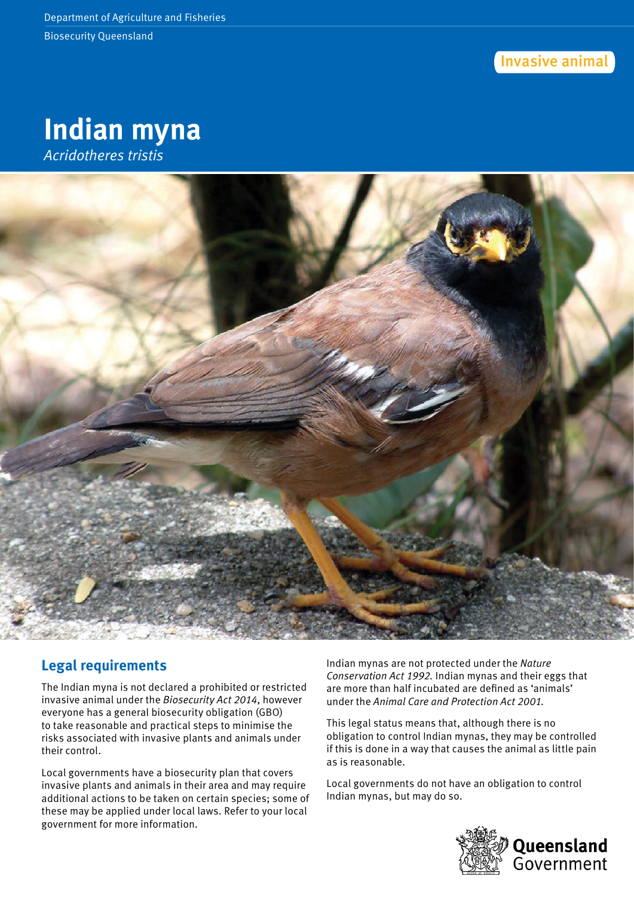Invasive animal





# **Legal requirements**

The Indian myna is not declared a prohibited or restricted invasive animal under the *Biosecurity Act 2014*, however everyone has a general biosecurity obligation (GBO) to take reasonable and practical steps to minimise the risks associated with invasive plants and animals under their control.

Local governments have a biosecurity plan that covers invasive plants and animals in their area and may require additional actions to be taken on certain species; some of these may be applied under local laws. Refer to your local government for more information.

Indian mynas are not protected under the *Nature Conservation Act 1992.* Indian mynas and their eggs that are more than half incubated are defined as 'animals' under the *Animal Care and Protection Act 2001.* 

This legal status means that, although there is no obligation to control Indian mynas, they may be controlled if this is done in a way that causes the animal as little pain as is reasonable.

Local governments do not have an obligation to control Indian mynas, but may do so.

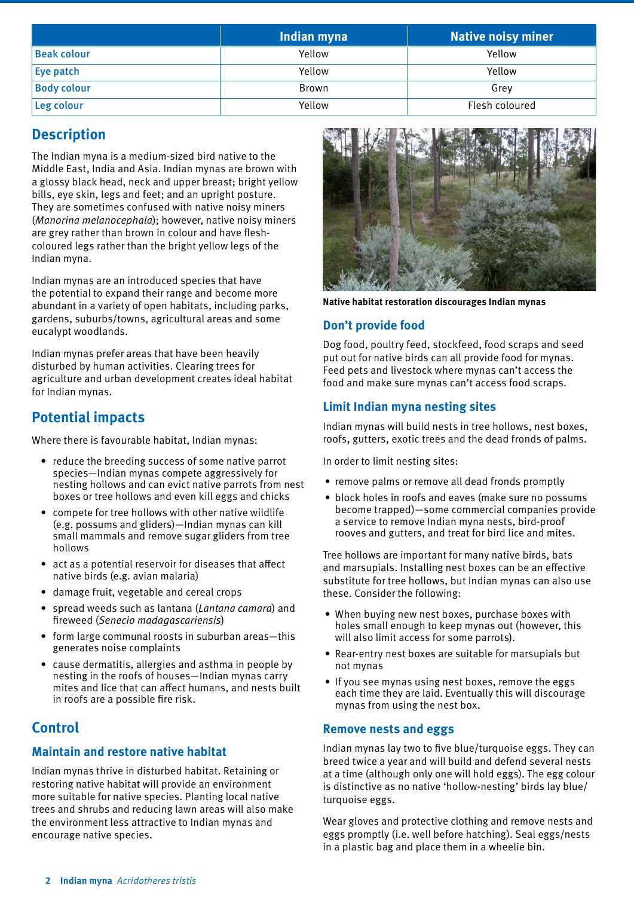|                    | Indian myna | <b>Native noisy miner</b> |
|--------------------|-------------|---------------------------|
| <b>Beak colour</b> | Yellow      | Yellow                    |
| Eye patch          | Yellow      | Yellow                    |
| <b>Body colour</b> | Brown       | Grev                      |
| Leg colour         | Yellow      | Flesh coloured            |

# **Description**

The Indian myna is a medium-sized bird native to the Middle East, India and Asia. Indian mynas are brown with a glossy black head, neck and upper breast; bright yellow bills, eye skin, legs and feet; and an upright posture. They are sometimes confused with native noisy miners (*Manorina melanocephala*); however, native noisy miners are grey rather than brown in colour and have fleshcoloured legs rather than the bright yellow legs of the Indian myna.

Indian mynas are an introduced species that have the potential to expand their range and become more abundant in a variety of open habitats, including parks, gardens, suburbs/towns, agricultural areas and some eucalypt woodlands.

Indian mynas prefer areas that have been heavily disturbed by human activities. Clearing trees for agriculture and urban development creates ideal habitat for Indian mynas.

# **Potential impacts**

Where there is favourable habitat, Indian mynas:

- reduce the breeding success of some native parrot species—Indian mynas compete aggressively for nesting hollows and can evict native parrots from nest boxes or tree hollows and even kill eggs and chicks
- compete for tree hollows with other native wildlife (e.g. possums and gliders)—Indian mynas can kill small mammals and remove sugar gliders from tree hollows
- act as a potential reservoir for diseases that affect native birds (e.g. avian malaria)
- damage fruit, vegetable and cereal crops
- spread weeds such as lantana (*Lantana camara*) and fireweed (*Senecio madagascariensis*)
- form large communal roosts in suburban areas—this generates noise complaints
- cause dermatitis, allergies and asthma in people by nesting in the roofs of houses—Indian mynas carry mites and lice that can affect humans, and nests built in roofs are a possible fire risk.

# **Control**

## **Maintain and restore native habitat**

Indian mynas thrive in disturbed habitat. Retaining or restoring native habitat will provide an environment more suitable for native species. Planting local native trees and shrubs and reducing lawn areas will also make the environment less attractive to Indian mynas and encourage native species.



**Native habitat restoration discourages Indian mynas**

## **Don't provide food**

Dog food, poultry feed, stockfeed, food scraps and seed put out for native birds can all provide food for mynas. Feed pets and livestock where mynas can't access the food and make sure mynas can't access food scraps.

### **Limit Indian myna nesting sites**

Indian mynas will build nests in tree hollows, nest boxes, roofs, gutters, exotic trees and the dead fronds of palms.

In order to limit nesting sites:

- remove palms or remove all dead fronds promptly
- block holes in roofs and eaves (make sure no possums become trapped)—some commercial companies provide a service to remove Indian myna nests, bird-proof rooves and gutters, and treat for bird lice and mites.

Tree hollows are important for many native birds, bats and marsupials. Installing nest boxes can be an effective substitute for tree hollows, but Indian mynas can also use these. Consider the following:

- When buying new nest boxes, purchase boxes with holes small enough to keep mynas out (however, this will also limit access for some parrots).
- Rear-entry nest boxes are suitable for marsupials but not mynas
- If you see mynas using nest boxes, remove the eggs each time they are laid. Eventually this will discourage mynas from using the nest box.

#### **Remove nests and eggs**

Indian mynas lay two to five blue/turquoise eggs. They can breed twice a year and will build and defend several nests at a time (although only one will hold eggs). The egg colour is distinctive as no native 'hollow-nesting' birds lay blue/ turquoise eggs.

Wear gloves and protective clothing and remove nests and eggs promptly (i.e. well before hatching). Seal eggs/nests in a plastic bag and place them in a wheelie bin.